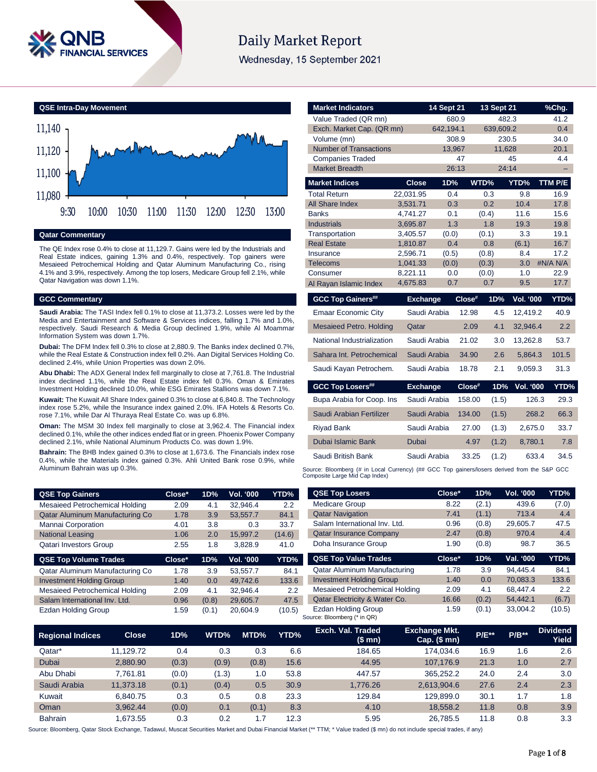

# **Daily Market Report**

Wednesday, 15 September 2021

**QSE Intra-Day Movement**



#### **Qatar Commentary**

The QE Index rose 0.4% to close at 11,129.7. Gains were led by the Industrials and Real Estate indices, gaining 1.3% and 0.4%, respectively. Top gainers were Mesaieed Petrochemical Holding and Qatar Aluminum Manufacturing Co., rising 4.1% and 3.9%, respectively. Among the top losers, Medicare Group fell 2.1%, while Qatar Navigation was down 1.1%.

#### **GCC Commentary**

**Saudi Arabia:** The TASI Index fell 0.1% to close at 11,373.2. Losses were led by the Media and Entertainment and Software & Services indices, falling 1.7% and 1.0%, respectively. Saudi Research & Media Group declined 1.9%, while Al Moammar Information System was down 1.7%.

**Dubai:** The DFM Index fell 0.3% to close at 2,880.9. The Banks index declined 0.7%, while the Real Estate & Construction index fell 0.2%. Aan Digital Services Holding Co. declined 2.4%, while Union Properties was down 2.0%.

**Abu Dhabi:** The ADX General Index fell marginally to close at 7,761.8. The Industrial index declined 1.1%, while the Real Estate index fell 0.3%. Oman & Emirates Investment Holding declined 10.0%, while ESG Emirates Stallions was down 7.1%.

**Kuwait:** The Kuwait All Share Index gained 0.3% to close at 6,840.8. The Technology index rose 5.2%, while the Insurance index gained 2.0%. IFA Hotels & Resorts Co. rose 7.1%, while Dar Al Thuraya Real Estate Co. was up 6.8%.

**Oman:** The MSM 30 Index fell marginally to close at 3,962.4. The Financial index declined 0.1%, while the other indices ended flat or in green. Phoenix Power Company declined 2.1%, while National Aluminum Products Co. was down 1.9%.

**Bahrain:** The BHB Index gained 0.3% to close at 1,673.6. The Financials index rose 0.4%, while the Materials index gained 0.3%. Ahli United Bank rose 0.9%, while Aluminum Bahrain was up 0.3%.

| <b>Market Indicators</b>                                                                                                      |                      | <b>14 Sept 21</b> | 13 Sept 21      |                  | %Chg.          |
|-------------------------------------------------------------------------------------------------------------------------------|----------------------|-------------------|-----------------|------------------|----------------|
| Value Traded (QR mn)                                                                                                          |                      | 680.9             |                 | 482.3            | 41.2           |
| Exch. Market Cap. (QR mn)                                                                                                     |                      | 642,194.1         | 639,609.2       |                  | 0.4            |
| Volume (mn)                                                                                                                   |                      | 308.9             |                 | 230.5            | 34.0           |
| <b>Number of Transactions</b>                                                                                                 |                      | 13.967            |                 | 11.628           | 20.1           |
| <b>Companies Traded</b>                                                                                                       |                      | 47                |                 | 45               | 4.4            |
| <b>Market Breadth</b>                                                                                                         |                      | 26:13             |                 | 24:14            |                |
| <b>Market Indices</b>                                                                                                         | <b>Close</b>         | 1D%               | WTD%            | YTD%             | <b>TTM P/E</b> |
| <b>Total Return</b>                                                                                                           | 22,031.95            | 0.4               | 0.3             | 9.8              | 16.9           |
| <b>All Share Index</b>                                                                                                        | 3,531.71             | 0.3               | 0.2             | 10.4             | 17.8           |
| <b>Banks</b>                                                                                                                  | 4,741.27             | 0.1               | (0.4)           | 11.6             | 15.6           |
| <b>Industrials</b>                                                                                                            | 3,695.87             | 1.3               | 1.8             | 19.3             | 19.8           |
| Transportation                                                                                                                | 3,405.57             | (0.0)<br>0.4      | (0.1)           | 3.3              | 19.1           |
| <b>Real Estate</b><br>Insurance                                                                                               | 1,810.87<br>2.596.71 | (0.5)             | 0.8<br>(0.8)    | (6.1)<br>8.4     | 16.7<br>17.2   |
| <b>Telecoms</b>                                                                                                               | 1,041.33             | (0.0)             | (0.3)           | 3.0              | #N/A N/A       |
| Consumer                                                                                                                      | 8.221.11             | 0.0               | (0.0)           | 1.0              | 22.9           |
| Al Rayan Islamic Index                                                                                                        | 4,675.83             | 0.7               | 0.7             | 9.5              | 17.7           |
| <b>GCC Top Gainers##</b>                                                                                                      | <b>Exchange</b>      |                   | Close#<br>1D%   | <b>Vol. '000</b> | YTD%           |
| Emaar Economic City                                                                                                           |                      | Saudi Arabia      | 12.98<br>4.5    | 12,419.2         | 40.9           |
| <b>Mesaieed Petro. Holding</b>                                                                                                | Qatar                |                   | 2.09<br>4.1     | 32.946.4         | 2.2            |
| National Industrialization                                                                                                    |                      | Saudi Arabia      | 21.02<br>3.0    | 13,262.8         | 53.7           |
| Sahara Int. Petrochemical                                                                                                     |                      | Saudi Arabia      | 34.90<br>2.6    | 5,864.3          | 101.5          |
| Saudi Kayan Petrochem.                                                                                                        |                      | Saudi Arabia      | 2.1<br>18.78    | 9,059.3          | 31.3           |
| <b>GCC Top Losers##</b>                                                                                                       | <b>Exchange</b>      |                   | Close#<br>1D%   | <b>Vol. '000</b> | YTD%           |
| Bupa Arabia for Coop. Ins                                                                                                     |                      | Saudi Arabia      | 158.00<br>(1.5) | 126.3            | 29.3           |
| Saudi Arabian Fertilizer                                                                                                      |                      | Saudi Arabia      | 134.00<br>(1.5) | 268.2            | 66.3           |
| Riyad Bank                                                                                                                    |                      | Saudi Arabia      | 27.00<br>(1.3)  | 2,675.0          | 33.7           |
| Dubai Islamic Bank                                                                                                            | Dubai                |                   | 4.97<br>(1.2)   | 8,780.1          | 7.8            |
| Saudi British Bank                                                                                                            |                      | Saudi Arabia      | 33.25<br>(1.2)  | 633.4            | 34.5           |
| Source: Bloomberg (# in Local Currency) (## GCC Top gainers/losers derived from the S&P GCC<br>Composite Large Mid Cap Index) |                      |                   |                 |                  |                |
|                                                                                                                               |                      |                   |                 |                  |                |

| <b>QSE Top Gainers</b>          | Close*          | 1D%          | Vol. '000        | YTD%             | <b>QSE Top Losers</b>                              | Close*               | 1D%     | <b>Vol. '000</b> | YTD%            |
|---------------------------------|-----------------|--------------|------------------|------------------|----------------------------------------------------|----------------------|---------|------------------|-----------------|
| Mesaieed Petrochemical Holding  | 2.09            | 4.1          | 32.946.4         | 2.2              | <b>Medicare Group</b>                              | 8.22                 | (2.1)   | 439.6            | (7.0)           |
| Qatar Aluminum Manufacturing Co | 1.78            | 3.9          | 53,557.7         | 84.1             | <b>Qatar Navigation</b>                            | 7.41                 | (1.1)   | 713.4            | 4.4             |
| Mannai Corporation              | 4.01            | 3.8          | 0.3              | 33.7             | Salam International Inv. Ltd.                      | 0.96                 | (0.8)   | 29,605.7         | 47.5            |
| <b>National Leasing</b>         | 1.06            | 2.0          | 15,997.2         | (14.6)           | <b>Qatar Insurance Company</b>                     | 2.47                 | (0.8)   | 970.4            | 4.4             |
| <b>Qatari Investors Group</b>   | 2.55            | 1.8          | 3.828.9          | 41.0             | Doha Insurance Group<br>1.90                       |                      | (0.8)   | 98.7             | 36.5            |
| <b>QSE Top Volume Trades</b>    | Close*          | 1D%          | Vol. '000        | YTD%             | <b>QSE Top Value Trades</b>                        | Close*               | 1D%     | Val. '000        | YTD%            |
| Qatar Aluminum Manufacturing Co | 1.78            | 3.9          | 53.557.7         | 84.1             | Qatar Aluminum Manufacturing                       | 1.78                 | 3.9     | 94.445.4         | 84.1            |
| <b>Investment Holding Group</b> | 1.40            | 0.0          | 49.742.6         | 133.6            | <b>Investment Holding Group</b>                    | 1.40                 | 0.0     | 70.083.3         | 133.6           |
| Mesaieed Petrochemical Holding  | 2.09            | 4.1          | 32.946.4         | 2.2              | Mesaieed Petrochemical Holding                     | 2.09                 | 4.1     | 68.447.4         | 2.2             |
| Salam International Inv. Ltd.   | 0.96            | (0.8)        | 29,605.7         | 47.5             | Qatar Electricity & Water Co.                      | 16.66                | (0.2)   | 54.442.1         | (6.7)           |
| Ezdan Holding Group             | 1.59            | (0.1)        | 20,604.9         | (10.5)           | Ezdan Holding Group<br>Source: Bloomberg (* in QR) | l.59                 | (0.1)   | 33,004.2         | (10.5)          |
| Close<br>Daaianal Indiaaa       | 1D <sub>0</sub> | <b>WITD%</b> | MTN <sub>0</sub> | VTD <sub>0</sub> | Exch. Val. Traded                                  | <b>Exchange Mkt.</b> | $D/E**$ | $D/R**$          | <b>Dividend</b> |

| <b>Regional Indices</b> | <b>Close</b> | 1D%   | WTD%  | MTD%  | YTD% | Exch. Val. Traded<br>(\$ mn) | <b>Exchange Mkt.</b><br>Cap. $($mn)$ | <b>P/E**</b> | $P/B**$ | <b>Dividend</b><br>Yield |
|-------------------------|--------------|-------|-------|-------|------|------------------------------|--------------------------------------|--------------|---------|--------------------------|
| Qatar*                  | 11.129.72    | 0.4   | 0.3   | 0.3   | 6.6  | 184.65                       | 174.034.6                            | 16.9         | 1.6     | 2.6                      |
| <b>Dubai</b>            | 2.880.90     | (0.3) | (0.9) | (0.8) | 15.6 | 44.95                        | 107.176.9                            | 21.3         | 1.0     | 2.7                      |
| Abu Dhabi               | 7.761.81     | (0.0) | (1.3) | 1.0   | 53.8 | 447.57                       | 365.252.2                            | 24.0         | 2.4     | 3.0                      |
| Saudi Arabia            | 11.373.18    | (0.1) | (0.4) | 0.5   | 30.9 | 1.776.26                     | 2.613.904.6                          | 27.6         | 2.4     | 2.3                      |
| Kuwait                  | 6.840.75     | 0.3   | 0.5   | 0.8   | 23.3 | 129.84                       | 129.899.0                            | 30.1         | 1.7     | 1.8                      |
| Oman                    | 3.962.44     | (0.0) | 0.1   | (0.1) | 8.3  | 4.10                         | 18.558.2                             | 11.8         | 0.8     | 3.9                      |
| <b>Bahrain</b>          | 1.673.55     | 0.3   | 0.2   | 7.،   | 12.3 | 5.95                         | 26.785.5                             | 11.8         | 0.8     | 3.3                      |

Source: Bloomberg, Qatar Stock Exchange, Tadawul, Muscat Securities Market and Dubai Financial Market (\*\* TTM; \* Value traded (\$ mn) do not include special trades, if any)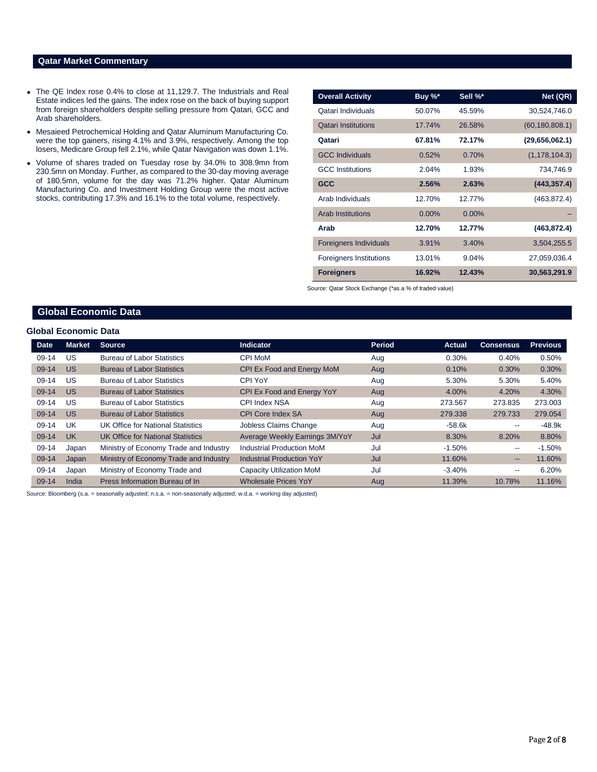### **Qatar Market Commentary**

- The QE Index rose 0.4% to close at 11,129.7. The Industrials and Real Estate indices led the gains. The index rose on the back of buying support from foreign shareholders despite selling pressure from Qatari, GCC and Arab shareholders.
- Mesaieed Petrochemical Holding and Qatar Aluminum Manufacturing Co. were the top gainers, rising 4.1% and 3.9%, respectively. Among the top losers, Medicare Group fell 2.1%, while Qatar Navigation was down 1.1%.
- Volume of shares traded on Tuesday rose by 34.0% to 308.9mn from 230.5mn on Monday. Further, as compared to the 30-day moving average of 180.5mn, volume for the day was 71.2% higher. Qatar Aluminum Manufacturing Co. and Investment Holding Group were the most active stocks, contributing 17.3% and 16.1% to the total volume, respectively.

| <b>Overall Activity</b>        | Buy %*   | Sell %*  | Net (QR)         |
|--------------------------------|----------|----------|------------------|
| Qatari Individuals             | 50.07%   | 45.59%   | 30,524,746.0     |
| <b>Qatari Institutions</b>     | 17.74%   | 26.58%   | (60, 180, 808.1) |
| Qatari                         | 67.81%   | 72.17%   | (29,656,062.1)   |
| <b>GCC Individuals</b>         | 0.52%    | 0.70%    | (1, 178, 104.3)  |
| <b>GCC</b> Institutions        | 2.04%    | 1.93%    | 734,746.9        |
| <b>GCC</b>                     | 2.56%    | 2.63%    | (443, 357.4)     |
| Arab Individuals               | 12.70%   | 12.77%   | (463, 872.4)     |
| <b>Arab Institutions</b>       | $0.00\%$ | $0.00\%$ |                  |
| Arab                           | 12.70%   | 12.77%   | (463, 872.4)     |
| <b>Foreigners Individuals</b>  | 3.91%    | 3.40%    | 3,504,255.5      |
| <b>Foreigners Institutions</b> | 13.01%   | 9.04%    | 27,059,036.4     |
| <b>Foreigners</b>              | 16.92%   | 12.43%   | 30,563,291.9     |

Source: Qatar Stock Exchange (\*as a % of traded value)

### **Global Economic Data**

#### **Global Economic Data**

| Date    | <b>Market</b> | <b>Source</b>                            | <b>Indicator</b>                 | <b>Period</b> | <b>Actual</b> | <b>Consensus</b> | <b>Previous</b> |
|---------|---------------|------------------------------------------|----------------------------------|---------------|---------------|------------------|-----------------|
| $09-14$ | US            | <b>Bureau of Labor Statistics</b>        | <b>CPI MoM</b>                   | Aug           | 0.30%         | 0.40%            | 0.50%           |
| $09-14$ | <b>US</b>     | <b>Bureau of Labor Statistics</b>        | CPI Ex Food and Energy MoM       | Aug           | 0.10%         | 0.30%            | 0.30%           |
| $09-14$ | US            | <b>Bureau of Labor Statistics</b>        | CPI YoY                          | Aug           | 5.30%         | 5.30%            | 5.40%           |
| $09-14$ | <b>US</b>     | <b>Bureau of Labor Statistics</b>        | CPI Ex Food and Energy YoY       | Aug           | 4.00%         | 4.20%            | 4.30%           |
| $09-14$ | US            | <b>Bureau of Labor Statistics</b>        | CPI Index NSA                    | Aug           | 273.567       | 273.835          | 273,003         |
| 09-14   | <b>US</b>     | <b>Bureau of Labor Statistics</b>        | <b>CPI Core Index SA</b>         | Aug           | 279.338       | 279.733          | 279.054         |
| $09-14$ | UK            | UK Office for National Statistics        | Jobless Claims Change            | Aug           | $-58.6k$      | --               | $-48.9k$        |
| $09-14$ | <b>UK</b>     | <b>UK Office for National Statistics</b> | Average Weekly Earnings 3M/YoY   | Jul           | 8.30%         | 8.20%            | 8.80%           |
| 09-14   | Japan         | Ministry of Economy Trade and Industry   | <b>Industrial Production MoM</b> | Jul           | $-1.50%$      | --               | $-1.50%$        |
| $09-14$ | Japan         | Ministry of Economy Trade and Industry   | <b>Industrial Production YoY</b> | Jul           | 11.60%        | $- -$            | 11.60%          |
| 09-14   | Japan         | Ministry of Economy Trade and            | <b>Capacity Utilization MoM</b>  | Jul           | $-3.40%$      | --               | 6.20%           |
| $09-14$ | India         | Press Information Bureau of In           | <b>Wholesale Prices YoY</b>      | Aug           | 11.39%        | 10.78%           | 11.16%          |

Source: Bloomberg (s.a. = seasonally adjusted; n.s.a. = non-seasonally adjusted; w.d.a. = working day adjusted)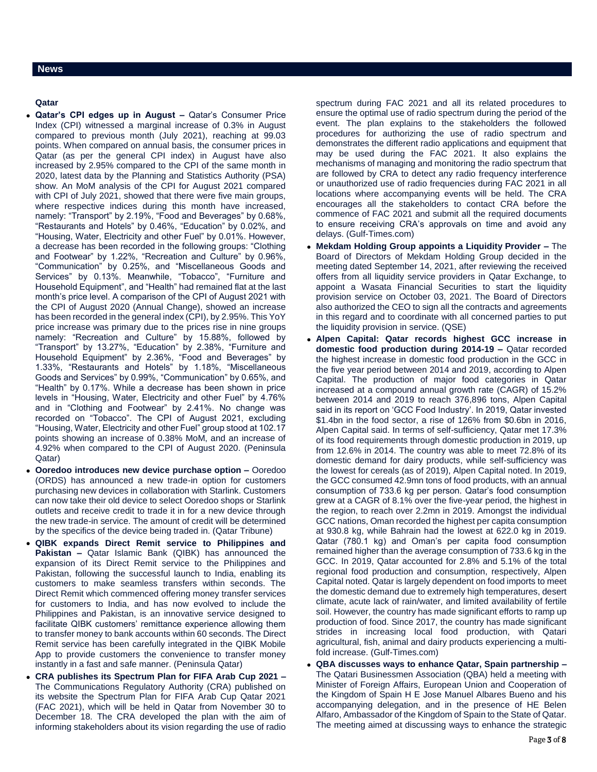#### **News**

#### **Qatar**

- **Qatar's CPI edges up in August –** Qatar's Consumer Price Index (CPI) witnessed a marginal increase of 0.3% in August compared to previous month (July 2021), reaching at 99.03 points. When compared on annual basis, the consumer prices in Qatar (as per the general CPI index) in August have also increased by 2.95% compared to the CPI of the same month in 2020, latest data by the Planning and Statistics Authority (PSA) show. An MoM analysis of the CPI for August 2021 compared with CPI of July 2021, showed that there were five main groups, where respective indices during this month have increased. namely: "Transport" by 2.19%, "Food and Beverages" by 0.68%, "Restaurants and Hotels" by 0.46%, "Education" by 0.02%, and "Housing, Water, Electricity and other Fuel" by 0.01%. However, a decrease has been recorded in the following groups: "Clothing and Footwear" by 1.22%, "Recreation and Culture" by 0.96%, "Communication" by 0.25%, and "Miscellaneous Goods and Services" by 0.13%. Meanwhile, "Tobacco", "Furniture and Household Equipment", and "Health" had remained flat at the last month's price level. A comparison of the CPI of August 2021 with the CPI of August 2020 (Annual Change), showed an increase has been recorded in the general index (CPI), by 2.95%. This YoY price increase was primary due to the prices rise in nine groups namely: "Recreation and Culture" by 15.88%, followed by "Transport" by 13.27%, "Education" by 2.38%, "Furniture and Household Equipment" by 2.36%, "Food and Beverages" by 1.33%, "Restaurants and Hotels" by 1.18%, "Miscellaneous Goods and Services" by 0.99%, "Communication" by 0.65%, and "Health" by 0.17%. While a decrease has been shown in price levels in "Housing, Water, Electricity and other Fuel" by 4.76% and in "Clothing and Footwear" by 2.41%. No change was recorded on "Tobacco". The CPI of August 2021, excluding "Housing, Water, Electricity and other Fuel" group stood at 102.17 points showing an increase of 0.38% MoM, and an increase of 4.92% when compared to the CPI of August 2020. (Peninsula Qatar)
- **Ooredoo introduces new device purchase option –** Ooredoo (ORDS) has announced a new trade-in option for customers purchasing new devices in collaboration with Starlink. Customers can now take their old device to select Ooredoo shops or Starlink outlets and receive credit to trade it in for a new device through the new trade-in service. The amount of credit will be determined by the specifics of the device being traded in. (Qatar Tribune)
- **QIBK expands Direct Remit service to Philippines and Pakistan –** Qatar Islamic Bank (QIBK) has announced the expansion of its Direct Remit service to the Philippines and Pakistan, following the successful launch to India, enabling its customers to make seamless transfers within seconds. The Direct Remit which commenced offering money transfer services for customers to India, and has now evolved to include the Philippines and Pakistan, is an innovative service designed to facilitate QIBK customers' remittance experience allowing them to transfer money to bank accounts within 60 seconds. The Direct Remit service has been carefully integrated in the QIBK Mobile App to provide customers the convenience to transfer money instantly in a fast and safe manner. (Peninsula Qatar)
- **CRA publishes its Spectrum Plan for FIFA Arab Cup 2021 –** The Communications Regulatory Authority (CRA) published on its website the Spectrum Plan for FIFA Arab Cup Qatar 2021 (FAC 2021), which will be held in Qatar from November 30 to December 18. The CRA developed the plan with the aim of informing stakeholders about its vision regarding the use of radio

spectrum during FAC 2021 and all its related procedures to ensure the optimal use of radio spectrum during the period of the event. The plan explains to the stakeholders the followed procedures for authorizing the use of radio spectrum and demonstrates the different radio applications and equipment that may be used during the FAC 2021. It also explains the mechanisms of managing and monitoring the radio spectrum that are followed by CRA to detect any radio frequency interference or unauthorized use of radio frequencies during FAC 2021 in all locations where accompanying events will be held. The CRA encourages all the stakeholders to contact CRA before the commence of FAC 2021 and submit all the required documents to ensure receiving CRA's approvals on time and avoid any delays. (Gulf-Times.com)

- **Mekdam Holding Group appoints a Liquidity Provider –** The Board of Directors of Mekdam Holding Group decided in the meeting dated September 14, 2021, after reviewing the received offers from all liquidity service providers in Qatar Exchange, to appoint a Wasata Financial Securities to start the liquidity provision service on October 03, 2021. The Board of Directors also authorized the CEO to sign all the contracts and agreements in this regard and to coordinate with all concerned parties to put the liquidity provision in service. (QSE)
- **Alpen Capital: Qatar records highest GCC increase in domestic food production during 2014-19 –** Qatar recorded the highest increase in domestic food production in the GCC in the five year period between 2014 and 2019, according to Alpen Capital. The production of major food categories in Qatar increased at a compound annual growth rate (CAGR) of 15.2% between 2014 and 2019 to reach 376,896 tons, Alpen Capital said in its report on 'GCC Food Industry'. In 2019, Qatar invested \$1.4bn in the food sector, a rise of 126% from \$0.6bn in 2016, Alpen Capital said. In terms of self-sufficiency, Qatar met 17.3% of its food requirements through domestic production in 2019, up from 12.6% in 2014. The country was able to meet 72.8% of its domestic demand for dairy products, while self-sufficiency was the lowest for cereals (as of 2019), Alpen Capital noted. In 2019, the GCC consumed 42.9mn tons of food products, with an annual consumption of 733.6 kg per person. Qatar's food consumption grew at a CAGR of 8.1% over the five-year period, the highest in the region, to reach over 2.2mn in 2019. Amongst the individual GCC nations, Oman recorded the highest per capita consumption at 930.8 kg, while Bahrain had the lowest at 622.0 kg in 2019. Qatar (780.1 kg) and Oman's per capita food consumption remained higher than the average consumption of 733.6 kg in the GCC. In 2019, Qatar accounted for 2.8% and 5.1% of the total regional food production and consumption, respectively, Alpen Capital noted. Qatar is largely dependent on food imports to meet the domestic demand due to extremely high temperatures, desert climate, acute lack of rain/water, and limited availability of fertile soil. However, the country has made significant efforts to ramp up production of food. Since 2017, the country has made significant strides in increasing local food production, with Qatari agricultural, fish, animal and dairy products experiencing a multifold increase. (Gulf-Times.com)
- **QBA discusses ways to enhance Qatar, Spain partnership –** The Qatari Businessmen Association (QBA) held a meeting with Minister of Foreign Affairs, European Union and Cooperation of the Kingdom of Spain H E Jose Manuel Albares Bueno and his accompanying delegation, and in the presence of HE Belen Alfaro, Ambassador of the Kingdom of Spain to the State of Qatar. The meeting aimed at discussing ways to enhance the strategic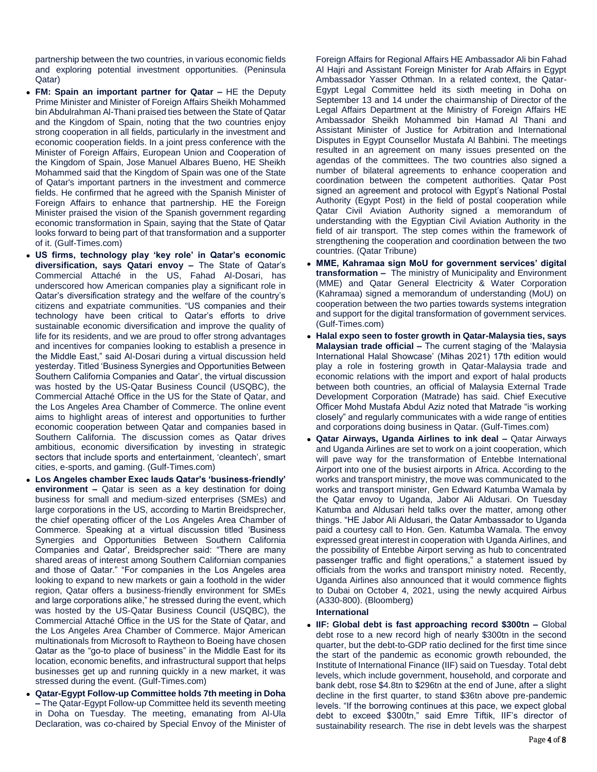partnership between the two countries, in various economic fields and exploring potential investment opportunities. (Peninsula Qatar)

- **FM: Spain an important partner for Qatar –** HE the Deputy Prime Minister and Minister of Foreign Affairs Sheikh Mohammed bin Abdulrahman Al-Thani praised ties between the State of Qatar and the Kingdom of Spain, noting that the two countries enjoy strong cooperation in all fields, particularly in the investment and economic cooperation fields. In a joint press conference with the Minister of Foreign Affairs, European Union and Cooperation of the Kingdom of Spain, Jose Manuel Albares Bueno, HE Sheikh Mohammed said that the Kingdom of Spain was one of the State of Qatar's important partners in the investment and commerce fields. He confirmed that he agreed with the Spanish Minister of Foreign Affairs to enhance that partnership. HE the Foreign Minister praised the vision of the Spanish government regarding economic transformation in Spain, saying that the State of Qatar looks forward to being part of that transformation and a supporter of it. (Gulf-Times.com)
- **US firms, technology play 'key role' in Qatar's economic diversification, says Qatari envoy –** The State of Qatar's Commercial Attaché in the US, Fahad Al-Dosari, has underscored how American companies play a significant role in Qatar's diversification strategy and the welfare of the country's citizens and expatriate communities. "US companies and their technology have been critical to Qatar's efforts to drive sustainable economic diversification and improve the quality of life for its residents, and we are proud to offer strong advantages and incentives for companies looking to establish a presence in the Middle East," said Al-Dosari during a virtual discussion held yesterday. Titled 'Business Synergies and Opportunities Between Southern California Companies and Qatar', the virtual discussion was hosted by the US-Qatar Business Council (USQBC), the Commercial Attaché Office in the US for the State of Qatar, and the Los Angeles Area Chamber of Commerce. The online event aims to highlight areas of interest and opportunities to further economic cooperation between Qatar and companies based in Southern California. The discussion comes as Qatar drives ambitious, economic diversification by investing in strategic sectors that include sports and entertainment, 'cleantech', smart cities, e-sports, and gaming. (Gulf-Times.com)
- **Los Angeles chamber Exec lauds Qatar's 'business-friendly' environment –** Qatar is seen as a key destination for doing business for small and medium-sized enterprises (SMEs) and large corporations in the US, according to Martin Breidsprecher, the chief operating officer of the Los Angeles Area Chamber of Commerce. Speaking at a virtual discussion titled 'Business Synergies and Opportunities Between Southern California Companies and Qatar', Breidsprecher said: "There are many shared areas of interest among Southern Californian companies and those of Qatar." "For companies in the Los Angeles area looking to expand to new markets or gain a foothold in the wider region, Qatar offers a business-friendly environment for SMEs and large corporations alike," he stressed during the event, which was hosted by the US-Qatar Business Council (USQBC), the Commercial Attaché Office in the US for the State of Qatar, and the Los Angeles Area Chamber of Commerce. Major American multinationals from Microsoft to Raytheon to Boeing have chosen Qatar as the "go-to place of business" in the Middle East for its location, economic benefits, and infrastructural support that helps businesses get up and running quickly in a new market, it was stressed during the event. (Gulf-Times.com)
- **Qatar-Egypt Follow-up Committee holds 7th meeting in Doha –** The Qatar-Egypt Follow-up Committee held its seventh meeting in Doha on Tuesday. The meeting, emanating from Al-Ula Declaration, was co-chaired by Special Envoy of the Minister of

Foreign Affairs for Regional Affairs HE Ambassador Ali bin Fahad Al Hajri and Assistant Foreign Minister for Arab Affairs in Egypt Ambassador Yasser Othman. In a related context, the Qatar-Egypt Legal Committee held its sixth meeting in Doha on September 13 and 14 under the chairmanship of Director of the Legal Affairs Department at the Ministry of Foreign Affairs HE Ambassador Sheikh Mohammed bin Hamad Al Thani and Assistant Minister of Justice for Arbitration and International Disputes in Egypt Counsellor Mustafa Al Bahbini. The meetings resulted in an agreement on many issues presented on the agendas of the committees. The two countries also signed a number of bilateral agreements to enhance cooperation and coordination between the competent authorities. Qatar Post signed an agreement and protocol with Egypt's National Postal Authority (Egypt Post) in the field of postal cooperation while Qatar Civil Aviation Authority signed a memorandum of understanding with the Egyptian Civil Aviation Authority in the field of air transport. The step comes within the framework of strengthening the cooperation and coordination between the two countries. (Qatar Tribune)

- **MME, Kahramaa sign MoU for government services' digital transformation –** The ministry of Municipality and Environment (MME) and Qatar General Electricity & Water Corporation (Kahramaa) signed a memorandum of understanding (MoU) on cooperation between the two parties towards systems integration and support for the digital transformation of government services. (Gulf-Times.com)
- **Halal expo seen to foster growth in Qatar-Malaysia ties, says Malaysian trade official –** The current staging of the 'Malaysia International Halal Showcase' (Mihas 2021) 17th edition would play a role in fostering growth in Qatar-Malaysia trade and economic relations with the import and export of halal products between both countries, an official of Malaysia External Trade Development Corporation (Matrade) has said. Chief Executive Officer Mohd Mustafa Abdul Aziz noted that Matrade "is working closely" and regularly communicates with a wide range of entities and corporations doing business in Qatar. (Gulf-Times.com)
- **Qatar Airways, Uganda Airlines to ink deal –** Qatar Airways and Uganda Airlines are set to work on a joint cooperation, which will pave way for the transformation of Entebbe International Airport into one of the busiest airports in Africa. According to the works and transport ministry, the move was communicated to the works and transport minister, Gen Edward Katumba Wamala by the Qatar envoy to Uganda, Jabor Ali Aldusari. On Tuesday Katumba and Aldusari held talks over the matter, among other things. "HE Jabor Ali Aldusari, the Qatar Ambassador to Uganda paid a courtesy call to Hon. Gen. Katumba Wamala. The envoy expressed great interest in cooperation with Uganda Airlines, and the possibility of Entebbe Airport serving as hub to concentrated passenger traffic and flight operations," a statement issued by officials from the works and transport ministry noted. Recently, Uganda Airlines also announced that it would commence flights to Dubai on October 4, 2021, using the newly acquired Airbus (A330-800). (Bloomberg)

### **International**

 **IIF: Global debt is fast approaching record \$300tn –** Global debt rose to a new record high of nearly \$300tn in the second quarter, but the debt-to-GDP ratio declined for the first time since the start of the pandemic as economic growth rebounded, the Institute of International Finance (IIF) said on Tuesday. Total debt levels, which include government, household, and corporate and bank debt, rose \$4.8tn to \$296tn at the end of June, after a slight decline in the first quarter, to stand \$36tn above pre-pandemic levels. "If the borrowing continues at this pace, we expect global debt to exceed \$300tn," said Emre Tiftik, IIF's director of sustainability research. The rise in debt levels was the sharpest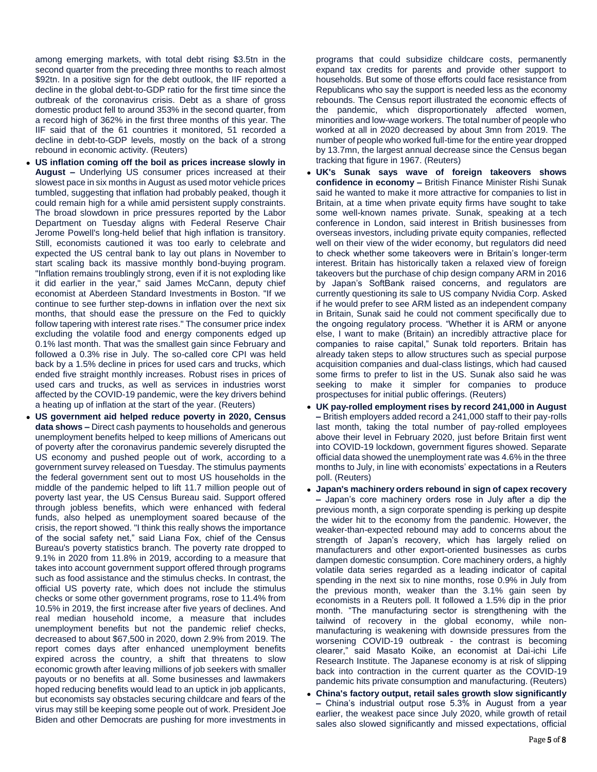among emerging markets, with total debt rising \$3.5tn in the second quarter from the preceding three months to reach almost \$92tn. In a positive sign for the debt outlook, the IIF reported a decline in the global debt-to-GDP ratio for the first time since the outbreak of the coronavirus crisis. Debt as a share of gross domestic product fell to around 353% in the second quarter, from a record high of 362% in the first three months of this year. The IIF said that of the 61 countries it monitored, 51 recorded a decline in debt-to-GDP levels, mostly on the back of a strong rebound in economic activity. (Reuters)

- **US inflation coming off the boil as prices increase slowly in August –** Underlying US consumer prices increased at their slowest pace in six months in August as used motor vehicle prices tumbled, suggesting that inflation had probably peaked, though it could remain high for a while amid persistent supply constraints. The broad slowdown in price pressures reported by the Labor Department on Tuesday aligns with Federal Reserve Chair Jerome Powell's long-held belief that high inflation is transitory. Still, economists cautioned it was too early to celebrate and expected the US central bank to lay out plans in November to start scaling back its massive monthly bond-buying program. "Inflation remains troublingly strong, even if it is not exploding like it did earlier in the year," said James McCann, deputy chief economist at Aberdeen Standard Investments in Boston. "If we continue to see further step-downs in inflation over the next six months, that should ease the pressure on the Fed to quickly follow tapering with interest rate rises." The consumer price index excluding the volatile food and energy components edged up 0.1% last month. That was the smallest gain since February and followed a 0.3% rise in July. The so-called core CPI was held back by a 1.5% decline in prices for used cars and trucks, which ended five straight monthly increases. Robust rises in prices of used cars and trucks, as well as services in industries worst affected by the COVID-19 pandemic, were the key drivers behind a heating up of inflation at the start of the year. (Reuters)
- **US government aid helped reduce poverty in 2020, Census data shows –** Direct cash payments to households and generous unemployment benefits helped to keep millions of Americans out of poverty after the coronavirus pandemic severely disrupted the US economy and pushed people out of work, according to a government survey released on Tuesday. The stimulus payments the federal government sent out to most US households in the middle of the pandemic helped to lift 11.7 million people out of poverty last year, the US Census Bureau said. Support offered through jobless benefits, which were enhanced with federal funds, also helped as unemployment soared because of the crisis, the report showed. "I think this really shows the importance of the social safety net," said Liana Fox, chief of the Census Bureau's poverty statistics branch. The poverty rate dropped to 9.1% in 2020 from 11.8% in 2019, according to a measure that takes into account government support offered through programs such as food assistance and the stimulus checks. In contrast, the official US poverty rate, which does not include the stimulus checks or some other government programs, rose to 11.4% from 10.5% in 2019, the first increase after five years of declines. And real median household income, a measure that includes unemployment benefits but not the pandemic relief checks, decreased to about \$67,500 in 2020, down 2.9% from 2019. The report comes days after enhanced unemployment benefits expired across the country, a shift that threatens to slow economic growth after leaving millions of job seekers with smaller payouts or no benefits at all. Some businesses and lawmakers hoped reducing benefits would lead to an uptick in job applicants, but economists say obstacles securing childcare and fears of the virus may still be keeping some people out of work. President Joe Biden and other Democrats are pushing for more investments in

programs that could subsidize childcare costs, permanently expand tax credits for parents and provide other support to households. But some of those efforts could face resistance from Republicans who say the support is needed less as the economy rebounds. The Census report illustrated the economic effects of the pandemic, which disproportionately affected women, minorities and low-wage workers. The total number of people who worked at all in 2020 decreased by about 3mn from 2019. The number of people who worked full-time for the entire year dropped by 13.7mn, the largest annual decrease since the Census began tracking that figure in 1967. (Reuters)

- **UK's Sunak says wave of foreign takeovers shows confidence in economy –** British Finance Minister Rishi Sunak said he wanted to make it more attractive for companies to list in Britain, at a time when private equity firms have sought to take some well-known names private. Sunak, speaking at a tech conference in London, said interest in British businesses from overseas investors, including private equity companies, reflected well on their view of the wider economy, but regulators did need to check whether some takeovers were in Britain's longer-term interest. Britain has historically taken a relaxed view of foreign takeovers but the purchase of chip design company ARM in 2016 by Japan's SoftBank raised concerns, and regulators are currently questioning its sale to US company Nvidia Corp. Asked if he would prefer to see ARM listed as an independent company in Britain, Sunak said he could not comment specifically due to the ongoing regulatory process. "Whether it is ARM or anyone else, I want to make (Britain) an incredibly attractive place for companies to raise capital," Sunak told reporters. Britain has already taken steps to allow structures such as special purpose acquisition companies and dual-class listings, which had caused some firms to prefer to list in the US. Sunak also said he was seeking to make it simpler for companies to produce prospectuses for initial public offerings. (Reuters)
- **UK pay-rolled employment rises by record 241,000 in August –** British employers added record a 241,000 staff to their pay-rolls last month, taking the total number of pay-rolled employees above their level in February 2020, just before Britain first went into COVID-19 lockdown, government figures showed. Separate official data showed the unemployment rate was 4.6% in the three months to July, in line with economists' expectations in a Reuters poll. (Reuters)
- **Japan's machinery orders rebound in sign of capex recovery –** Japan's core machinery orders rose in July after a dip the previous month, a sign corporate spending is perking up despite the wider hit to the economy from the pandemic. However, the weaker-than-expected rebound may add to concerns about the strength of Japan's recovery, which has largely relied on manufacturers and other export-oriented businesses as curbs dampen domestic consumption. Core machinery orders, a highly volatile data series regarded as a leading indicator of capital spending in the next six to nine months, rose 0.9% in July from the previous month, weaker than the 3.1% gain seen by economists in a Reuters poll. It followed a 1.5% dip in the prior month. "The manufacturing sector is strengthening with the tailwind of recovery in the global economy, while nonmanufacturing is weakening with downside pressures from the worsening COVID-19 outbreak - the contrast is becoming clearer," said Masato Koike, an economist at Dai-ichi Life Research Institute. The Japanese economy is at risk of slipping back into contraction in the current quarter as the COVID-19 pandemic hits private consumption and manufacturing. (Reuters)
- **China's factory output, retail sales growth slow significantly –** China's industrial output rose 5.3% in August from a year earlier, the weakest pace since July 2020, while growth of retail sales also slowed significantly and missed expectations, official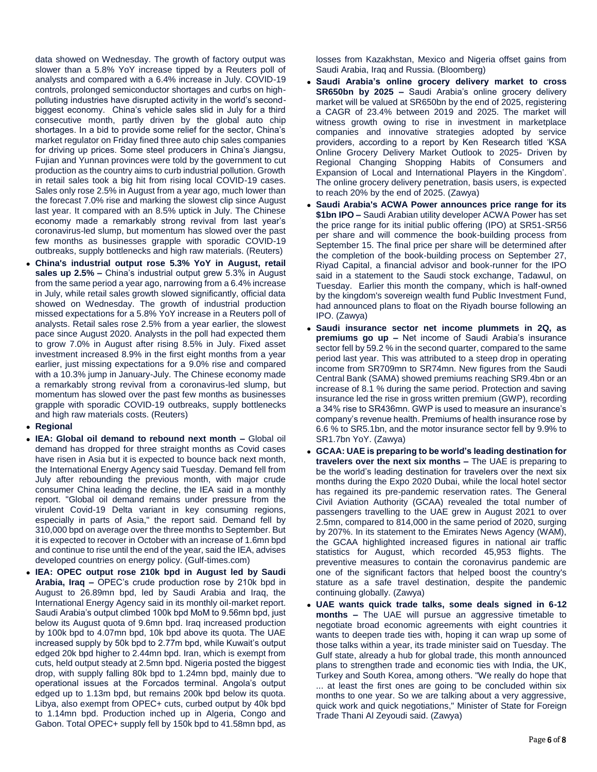data showed on Wednesday. The growth of factory output was slower than a 5.8% YoY increase tipped by a Reuters poll of analysts and compared with a 6.4% increase in July. COVID-19 controls, prolonged semiconductor shortages and curbs on highpolluting industries have disrupted activity in the world's secondbiggest economy. China's vehicle sales slid in July for a third consecutive month, partly driven by the global auto chip shortages. In a bid to provide some relief for the sector, China's market regulator on Friday fined three auto chip sales companies for driving up prices. Some steel producers in China's Jiangsu, Fujian and Yunnan provinces were told by the government to cut production as the country aims to curb industrial pollution. Growth in retail sales took a big hit from rising local COVID-19 cases. Sales only rose 2.5% in August from a year ago, much lower than the forecast 7.0% rise and marking the slowest clip since August last year. It compared with an 8.5% uptick in July. The Chinese economy made a remarkably strong revival from last year's coronavirus-led slump, but momentum has slowed over the past few months as businesses grapple with sporadic COVID-19 outbreaks, supply bottlenecks and high raw materials. (Reuters)

- **China's industrial output rose 5.3% YoY in August, retail sales up 2.5% –** China's industrial output grew 5.3% in August from the same period a year ago, narrowing from a 6.4% increase in July, while retail sales growth slowed significantly, official data showed on Wednesday. The growth of industrial production missed expectations for a 5.8% YoY increase in a Reuters poll of analysts. Retail sales rose 2.5% from a year earlier, the slowest pace since August 2020. Analysts in the poll had expected them to grow 7.0% in August after rising 8.5% in July. Fixed asset investment increased 8.9% in the first eight months from a year earlier, just missing expectations for a 9.0% rise and compared with a 10.3% jump in January-July. The Chinese economy made a remarkably strong revival from a coronavirus-led slump, but momentum has slowed over the past few months as businesses grapple with sporadic COVID-19 outbreaks, supply bottlenecks and high raw materials costs. (Reuters)
- **Regional**
- **IEA: Global oil demand to rebound next month –** Global oil demand has dropped for three straight months as Covid cases have risen in Asia but it is expected to bounce back next month, the International Energy Agency said Tuesday. Demand fell from July after rebounding the previous month, with major crude consumer China leading the decline, the IEA said in a monthly report. "Global oil demand remains under pressure from the virulent Covid-19 Delta variant in key consuming regions, especially in parts of Asia," the report said. Demand fell by 310,000 bpd on average over the three months to September. But it is expected to recover in October with an increase of 1.6mn bpd and continue to rise until the end of the year, said the IEA, advises developed countries on energy policy. (Gulf-times.com)
- **IEA: OPEC output rose 210k bpd in August led by Saudi Arabia, Iraq –** OPEC's crude production rose by 210k bpd in August to 26.89mn bpd, led by Saudi Arabia and Iraq, the International Energy Agency said in its monthly oil-market report. Saudi Arabia's output climbed 100k bpd MoM to 9.56mn bpd, just below its August quota of 9.6mn bpd. Iraq increased production by 100k bpd to 4.07mn bpd, 10k bpd above its quota. The UAE increased supply by 50k bpd to 2.77m bpd, while Kuwait's output edged 20k bpd higher to 2.44mn bpd. Iran, which is exempt from cuts, held output steady at 2.5mn bpd. Nigeria posted the biggest drop, with supply falling 80k bpd to 1.24mn bpd, mainly due to operational issues at the Forcados terminal. Angola's output edged up to 1.13m bpd, but remains 200k bpd below its quota. Libya, also exempt from OPEC+ cuts, curbed output by 40k bpd to 1.14mn bpd. Production inched up in Algeria, Congo and Gabon. Total OPEC+ supply fell by 150k bpd to 41.58mn bpd, as

losses from Kazakhstan, Mexico and Nigeria offset gains from Saudi Arabia, Iraq and Russia. (Bloomberg)

- **Saudi Arabia's online grocery delivery market to cross SR650bn by 2025 –** Saudi Arabia's online grocery delivery market will be valued at SR650bn by the end of 2025, registering a CAGR of 23.4% between 2019 and 2025. The market will witness growth owing to rise in investment in marketplace companies and innovative strategies adopted by service providers, according to a report by Ken Research titled 'KSA Online Grocery Delivery Market Outlook to 2025- Driven by Regional Changing Shopping Habits of Consumers and Expansion of Local and International Players in the Kingdom'. The online grocery delivery penetration, basis users, is expected to reach 20% by the end of 2025. (Zawya)
- **Saudi Arabia's ACWA Power announces price range for its \$1bn IPO –** Saudi Arabian utility developer ACWA Power has set the price range for its initial public offering (IPO) at SR51-SR56 per share and will commence the book-building process from September 15. The final price per share will be determined after the completion of the book-building process on September 27, Riyad Capital, a financial advisor and book-runner for the IPO said in a statement to the Saudi stock exchange, Tadawul, on Tuesday. Earlier this month the company, which is half-owned by the kingdom's sovereign wealth fund Public Investment Fund, had announced plans to float on the Riyadh bourse following an IPO. (Zawya)
- **Saudi insurance sector net income plummets in 2Q, as premiums go up –** Net income of Saudi Arabia's insurance sector fell by 59.2 % in the second quarter, compared to the same period last year. This was attributed to a steep drop in operating income from SR709mn to SR74mn. New figures from the Saudi Central Bank (SAMA) showed premiums reaching SR9.4bn or an increase of 8.1 % during the same period. Protection and saving insurance led the rise in gross written premium (GWP), recording a 34% rise to SR436mn. GWP is used to measure an insurance's company's revenue health. Premiums of health insurance rose by 6.6 % to SR5.1bn, and the motor insurance sector fell by 9.9% to SR1.7bn YoY. (Zawya)
- **GCAA: UAE is preparing to be world's leading destination for travelers over the next six months –** The UAE is preparing to be the world's leading destination for travelers over the next six months during the Expo 2020 Dubai, while the local hotel sector has regained its pre-pandemic reservation rates. The General Civil Aviation Authority (GCAA) revealed the total number of passengers travelling to the UAE grew in August 2021 to over 2.5mn, compared to 814,000 in the same period of 2020, surging by 207%. In its statement to the Emirates News Agency (WAM), the GCAA highlighted increased figures in national air traffic statistics for August, which recorded 45,953 flights. The preventive measures to contain the coronavirus pandemic are one of the significant factors that helped boost the country's stature as a safe travel destination, despite the pandemic continuing globally. (Zawya)
- **UAE wants quick trade talks, some deals signed in 6-12 months –** The UAE will pursue an aggressive timetable to negotiate broad economic agreements with eight countries it wants to deepen trade ties with, hoping it can wrap up some of those talks within a year, its trade minister said on Tuesday. The Gulf state, already a hub for global trade, this month announced plans to strengthen trade and economic ties with India, the UK, Turkey and South Korea, among others. "We really do hope that ... at least the first ones are going to be concluded within six months to one year. So we are talking about a very aggressive, quick work and quick negotiations," Minister of State for Foreign Trade Thani Al Zeyoudi said. (Zawya)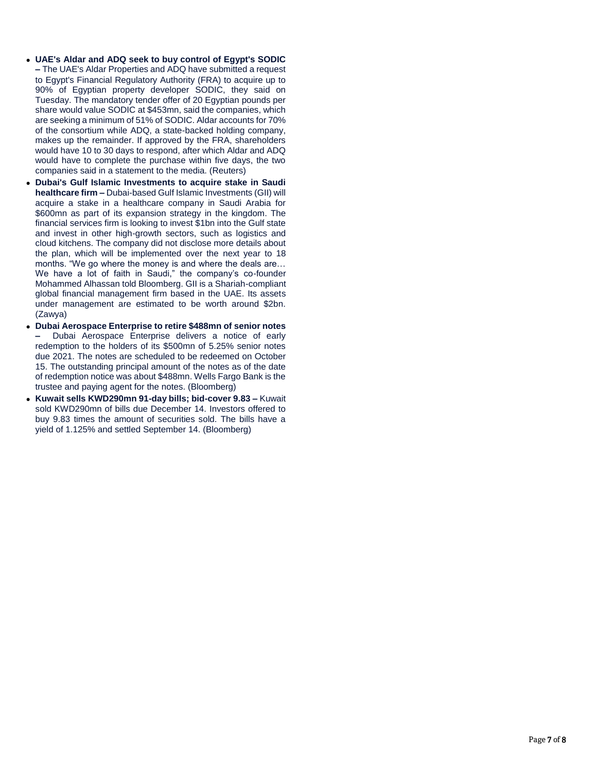- **UAE's Aldar and ADQ seek to buy control of Egypt's SODIC –** The UAE's Aldar Properties and ADQ have submitted a request to Egypt's Financial Regulatory Authority (FRA) to acquire up to 90% of Egyptian property developer SODIC, they said on Tuesday. The mandatory tender offer of 20 Egyptian pounds per share would value SODIC at \$453mn, said the companies, which are seeking a minimum of 51% of SODIC. Aldar accounts for 70% of the consortium while ADQ, a state-backed holding company, makes up the remainder. If approved by the FRA, shareholders would have 10 to 30 days to respond, after which Aldar and ADQ would have to complete the purchase within five days, the two companies said in a statement to the media. (Reuters)
- **Dubai's Gulf Islamic Investments to acquire stake in Saudi healthcare firm –** Dubai-based Gulf Islamic Investments (GII) will acquire a stake in a healthcare company in Saudi Arabia for \$600mn as part of its expansion strategy in the kingdom. The financial services firm is looking to invest \$1bn into the Gulf state and invest in other high-growth sectors, such as logistics and cloud kitchens. The company did not disclose more details about the plan, which will be implemented over the next year to 18 months. "We go where the money is and where the deals are… We have a lot of faith in Saudi," the company's co-founder Mohammed Alhassan told Bloomberg. GII is a Shariah-compliant global financial management firm based in the UAE. Its assets under management are estimated to be worth around \$2bn. (Zawya)
- **Dubai Aerospace Enterprise to retire \$488mn of senior notes –** Dubai Aerospace Enterprise delivers a notice of early redemption to the holders of its \$500mn of 5.25% senior notes due 2021. The notes are scheduled to be redeemed on October 15. The outstanding principal amount of the notes as of the date of redemption notice was about \$488mn. Wells Fargo Bank is the trustee and paying agent for the notes. (Bloomberg)
- **Kuwait sells KWD290mn 91-day bills; bid-cover 9.83 –** Kuwait sold KWD290mn of bills due December 14. Investors offered to buy 9.83 times the amount of securities sold. The bills have a yield of 1.125% and settled September 14. (Bloomberg)